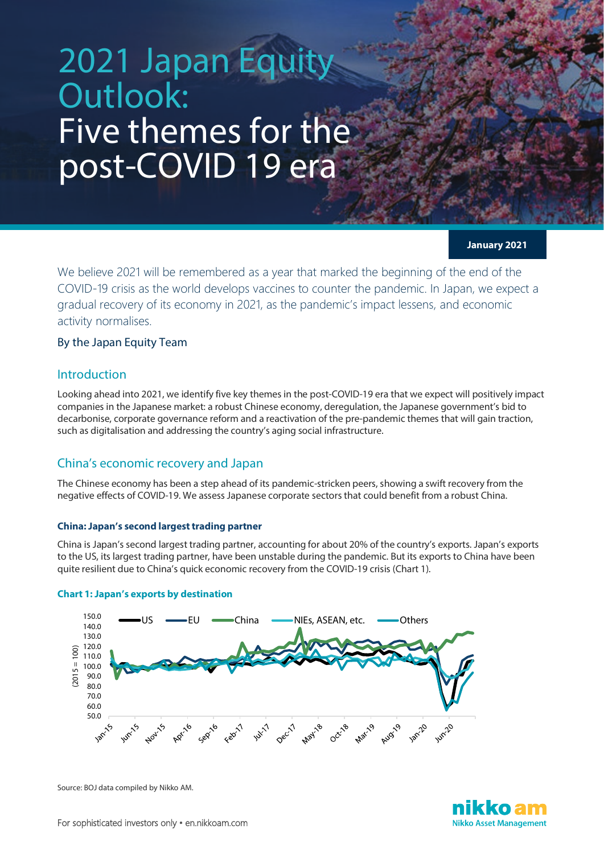# 2021 Japan Equi Outlook: Five themes for the post-COVID 19 era

**January 2021**

We believe 2021 will be remembered as a year that marked the beginning of the end of the COVID-19 crisis as the world develops vaccines to counter the pandemic. In Japan, we expect a gradual recovery of its economy in 2021, as the pandemic's impact lessens, and economic activity normalises.

## By the Japan Equity Team

## Introduction

Looking ahead into 2021, we identify five key themes in the post-COVID-19 era that we expect will positively impact companies in the Japanese market: a robust Chinese economy, deregulation, the Japanese government's bid to decarbonise, corporate governance reform and a reactivation of the pre-pandemic themes that will gain traction, such as digitalisation and addressing the country's aging social infrastructure.

## China's economic recovery and Japan

The Chinese economy has been a step ahead of its pandemic-stricken peers, showing a swift recovery from the negative effects of COVID-19. We assess Japanese corporate sectors that could benefit from a robust China.

#### **China: Japan's second largest trading partner**

China is Japan's second largest trading partner, accounting for about 20% of the country's exports. Japan's exports to the US, its largest trading partner, have been unstable during the pandemic. But its exports to China have been quite resilient due to China's quick economic recovery from the COVID-19 crisis (Chart 1).



#### **Chart 1: Japan's exports by destination**

Source: BOJ data compiled by Nikko AM.

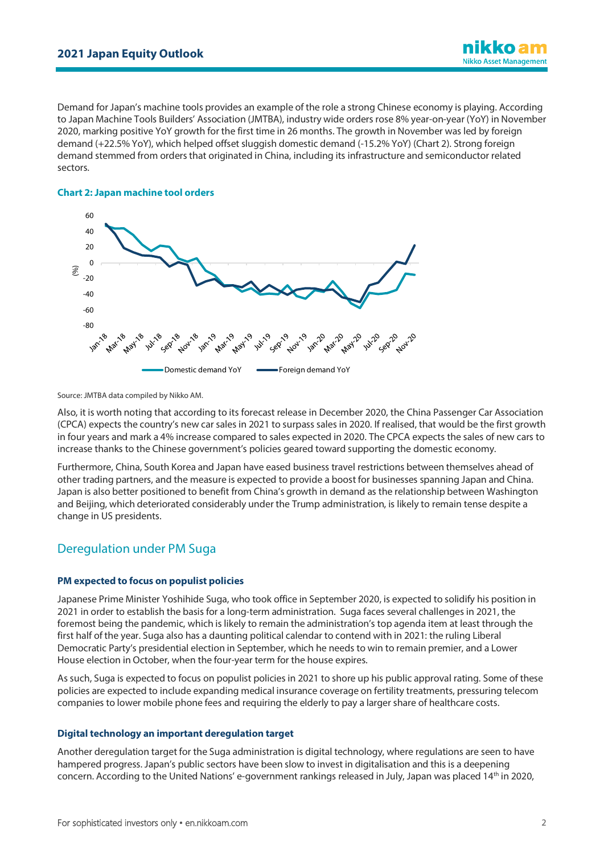Demand for Japan's machine tools provides an example of the role a strong Chinese economy is playing. According to Japan Machine Tools Builders' Association (JMTBA), industry wide orders rose 8% year-on-year (YoY) in November 2020, marking positive YoY growth for the first time in 26 months. The growth in November was led by foreign demand (+22.5% YoY), which helped offset sluggish domestic demand (-15.2% YoY) (Chart 2). Strong foreign demand stemmed from orders that originated in China, including its infrastructure and semiconductor related sectors.

#### **Chart 2: Japan machine tool orders**



Source: JMTBA data compiled by Nikko AM.

Also, it is worth noting that according to its forecast release in December 2020, the China Passenger Car Association (CPCA) expects the country's new car sales in 2021 to surpass sales in 2020. If realised, that would be the first growth in four years and mark a 4% increase compared to sales expected in 2020. The CPCA expects the sales of new cars to increase thanks to the Chinese government's policies geared toward supporting the domestic economy.

Furthermore, China, South Korea and Japan have eased business travel restrictions between themselves ahead of other trading partners, and the measure is expected to provide a boost for businesses spanning Japan and China. Japan is also better positioned to benefit from China's growth in demand as the relationship between Washington and Beijing, which deteriorated considerably under the Trump administration, is likely to remain tense despite a change in US presidents.

# Deregulation under PM Suga

#### **PM expected to focus on populist policies**

Japanese Prime Minister Yoshihide Suga, who took office in September 2020, is expected to solidify his position in 2021 in order to establish the basis for a long-term administration. Suga faces several challenges in 2021, the foremost being the pandemic, which is likely to remain the administration's top agenda item at least through the first half of the year. Suga also has a daunting political calendar to contend with in 2021: the ruling Liberal Democratic Party's presidential election in September, which he needs to win to remain premier, and a Lower House election in October, when the four-year term for the house expires.

As such, Suga is expected to focus on populist policies in 2021 to shore up his public approval rating. Some of these policies are expected to include expanding medical insurance coverage on fertility treatments, pressuring telecom companies to lower mobile phone fees and requiring the elderly to pay a larger share of healthcare costs.

#### **Digital technology an important deregulation target**

Another deregulation target for the Suga administration is digital technology, where regulations are seen to have hampered progress. Japan's public sectors have been slow to invest in digitalisation and this is a deepening concern. According to the United Nations' e-government rankings released in July, Japan was placed 14<sup>th</sup> in 2020,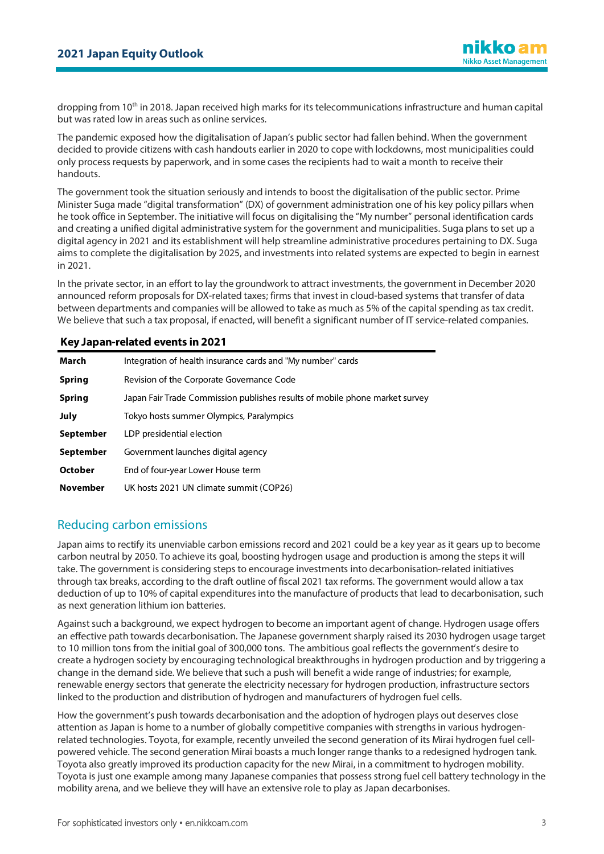dropping from 10<sup>th</sup> in 2018. Japan received high marks for its telecommunications infrastructure and human capital but was rated low in areas such as online services.

The pandemic exposed how the digitalisation of Japan's public sector had fallen behind. When the government decided to provide citizens with cash handouts earlier in 2020 to cope with lockdowns, most municipalities could only process requests by paperwork, and in some cases the recipients had to wait a month to receive their handouts.

The government took the situation seriously and intends to boost the digitalisation of the public sector. Prime Minister Suga made "digital transformation" (DX) of government administration one of his key policy pillars when he took office in September. The initiative will focus on digitalising the "My number" personal identification cards and creating a unified digital administrative system for the government and municipalities. Suga plans to set up a digital agency in 2021 and its establishment will help streamline administrative procedures pertaining to DX. Suga aims to complete the digitalisation by 2025, and investments into related systems are expected to begin in earnest in 2021.

In the private sector, in an effort to lay the groundwork to attract investments, the government in December 2020 announced reform proposals for DX-related taxes; firms that invest in cloud-based systems that transfer of data between departments and companies will be allowed to take as much as 5% of the capital spending as tax credit. We believe that such a tax proposal, if enacted, will benefit a significant number of IT service-related companies.

### **Key Japan-related events in 2021**

| March           | Integration of health insurance cards and "My number" cards                 |
|-----------------|-----------------------------------------------------------------------------|
| <b>Spring</b>   | Revision of the Corporate Governance Code                                   |
| <b>Spring</b>   | Japan Fair Trade Commission publishes results of mobile phone market survey |
| <b>July</b>     | Tokyo hosts summer Olympics, Paralympics                                    |
| September       | LDP presidential election                                                   |
| September       | Government launches digital agency                                          |
| <b>October</b>  | End of four-year Lower House term                                           |
| <b>November</b> | UK hosts 2021 UN climate summit (COP26)                                     |

# Reducing carbon emissions

Japan aims to rectify its unenviable carbon emissions record and 2021 could be a key year as it gears up to become carbon neutral by 2050. To achieve its goal, boosting hydrogen usage and production is among the steps it will take. The government is considering steps to encourage investments into decarbonisation-related initiatives through tax breaks, according to the draft outline of fiscal 2021 tax reforms. The government would allow a tax deduction of up to 10% of capital expenditures into the manufacture of products that lead to decarbonisation, such as next generation lithium ion batteries.

Against such a background, we expect hydrogen to become an important agent of change. Hydrogen usage offers an effective path towards decarbonisation. The Japanese government sharply raised its 2030 hydrogen usage target to 10 million tons from the initial goal of 300,000 tons. The ambitious goal reflects the government's desire to create a hydrogen society by encouraging technological breakthroughs in hydrogen production and by triggering a change in the demand side. We believe that such a push will benefit a wide range of industries; for example, renewable energy sectors that generate the electricity necessary for hydrogen production, infrastructure sectors linked to the production and distribution of hydrogen and manufacturers of hydrogen fuel cells.

How the government's push towards decarbonisation and the adoption of hydrogen plays out deserves close attention as Japan is home to a number of globally competitive companies with strengths in various hydrogenrelated technologies. Toyota, for example, recently unveiled the second generation of its Mirai hydrogen fuel cellpowered vehicle. The second generation Mirai boasts a much longer range thanks to a redesigned hydrogen tank. Toyota also greatly improved its production capacity for the new Mirai, in a commitment to hydrogen mobility. Toyota is just one example among many Japanese companies that possess strong fuel cell battery technology in the mobility arena, and we believe they will have an extensive role to play as Japan decarbonises.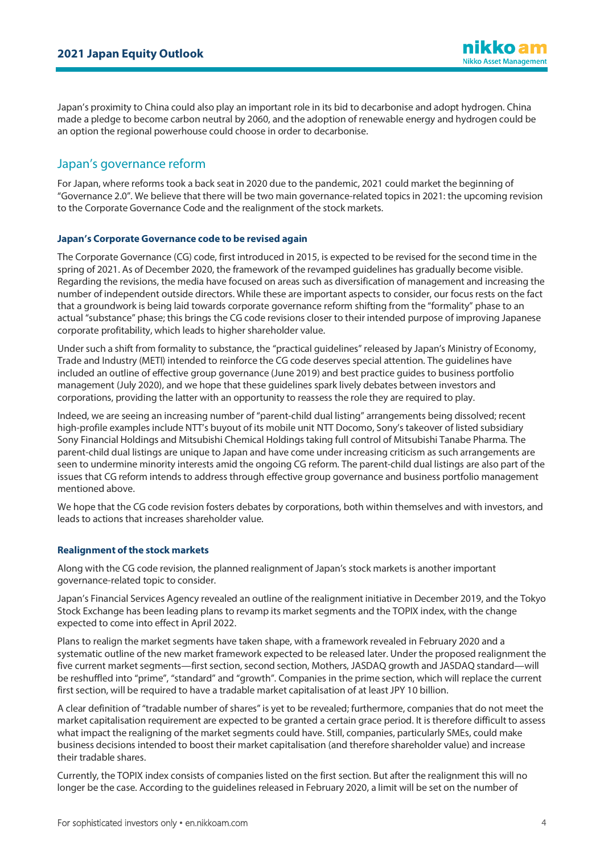Japan's proximity to China could also play an important role in its bid to decarbonise and adopt hydrogen. China made a pledge to become carbon neutral by 2060, and the adoption of renewable energy and hydrogen could be an option the regional powerhouse could choose in order to decarbonise.

# Japan's governance reform

For Japan, where reforms took a back seat in 2020 due to the pandemic, 2021 could market the beginning of "Governance 2.0". We believe that there will be two main governance-related topics in 2021: the upcoming revision to the Corporate Governance Code and the realignment of the stock markets.

#### **Japan's Corporate Governance code to be revised again**

The Corporate Governance (CG) code, first introduced in 2015, is expected to be revised for the second time in the spring of 2021. As of December 2020, the framework of the revamped guidelines has gradually become visible. Regarding the revisions, the media have focused on areas such as diversification of management and increasing the number of independent outside directors. While these are important aspects to consider, our focus rests on the fact that a groundwork is being laid towards corporate governance reform shifting from the "formality" phase to an actual "substance" phase; this brings the CG code revisions closer to their intended purpose of improving Japanese corporate profitability, which leads to higher shareholder value.

Under such a shift from formality to substance, the "practical guidelines" released by Japan's Ministry of Economy, Trade and Industry (METI) intended to reinforce the CG code deserves special attention. The guidelines have included an outline of effective group governance (June 2019) and best practice guides to business portfolio management (July 2020), and we hope that these guidelines spark lively debates between investors and corporations, providing the latter with an opportunity to reassess the role they are required to play.

Indeed, we are seeing an increasing number of "parent-child dual listing" arrangements being dissolved; recent high-profile examples include NTT's buyout of its mobile unit NTT Docomo, Sony's takeover of listed subsidiary Sony Financial Holdings and Mitsubishi Chemical Holdings taking full control of Mitsubishi Tanabe Pharma. The parent-child dual listings are unique to Japan and have come under increasing criticism as such arrangements are seen to undermine minority interests amid the ongoing CG reform. The parent-child dual listings are also part of the issues that CG reform intends to address through effective group governance and business portfolio management mentioned above.

We hope that the CG code revision fosters debates by corporations, both within themselves and with investors, and leads to actions that increases shareholder value.

#### **Realignment of the stock markets**

Along with the CG code revision, the planned realignment of Japan's stock markets is another important governance-related topic to consider.

Japan's Financial Services Agency revealed an outline of the realignment initiative in December 2019, and the Tokyo Stock Exchange has been leading plans to revamp its market segments and the TOPIX index, with the change expected to come into effect in April 2022.

Plans to realign the market segments have taken shape, with a framework revealed in February 2020 and a systematic outline of the new market framework expected to be released later. Under the proposed realignment the five current market segments—first section, second section, Mothers, JASDAQ growth and JASDAQ standard—will be reshuffled into "prime", "standard" and "growth". Companies in the prime section, which will replace the current first section, will be required to have a tradable market capitalisation of at least JPY 10 billion.

A clear definition of "tradable number of shares" is yet to be revealed; furthermore, companies that do not meet the market capitalisation requirement are expected to be granted a certain grace period. It is therefore difficult to assess what impact the realigning of the market segments could have. Still, companies, particularly SMEs, could make business decisions intended to boost their market capitalisation (and therefore shareholder value) and increase their tradable shares.

Currently, the TOPIX index consists of companies listed on the first section. But after the realignment this will no longer be the case. According to the guidelines released in February 2020, a limit will be set on the number of

nikko am **Nikko Asset Management**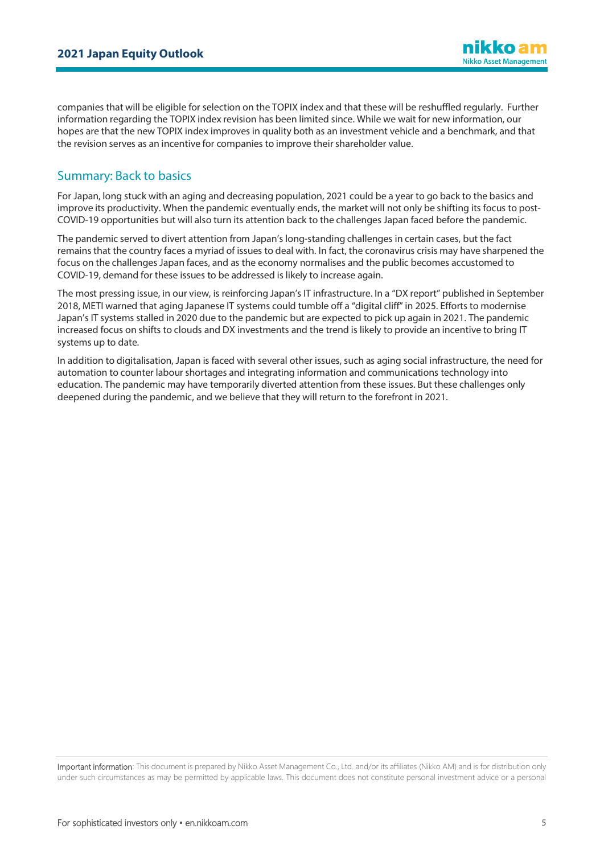companies that will be eligible for selection on the TOPIX index and that these will be reshuffled regularly. Further information regarding the TOPIX index revision has been limited since. While we wait for new information, our hopes are that the new TOPIX index improves in quality both as an investment vehicle and a benchmark, and that the revision serves as an incentive for companies to improve their shareholder value.

# Summary: Back to basics

For Japan, long stuck with an aging and decreasing population, 2021 could be a year to go back to the basics and improve its productivity. When the pandemic eventually ends, the market will not only be shifting its focus to post-COVID-19 opportunities but will also turn its attention back to the challenges Japan faced before the pandemic.

The pandemic served to divert attention from Japan's long-standing challenges in certain cases, but the fact remains that the country faces a myriad of issues to deal with. In fact, the coronavirus crisis may have sharpened the focus on the challenges Japan faces, and as the economy normalises and the public becomes accustomed to COVID-19, demand for these issues to be addressed is likely to increase again.

The most pressing issue, in our view, is reinforcing Japan's IT infrastructure. In a "DX report" published in September 2018, METI warned that aging Japanese IT systems could tumble off a "digital cliff" in 2025. Efforts to modernise Japan's IT systems stalled in 2020 due to the pandemic but are expected to pick up again in 2021. The pandemic increased focus on shifts to clouds and DX investments and the trend is likely to provide an incentive to bring IT systems up to date.

In addition to digitalisation, Japan is faced with several other issues, such as aging social infrastructure, the need for automation to counter labour shortages and integrating information and communications technology into education. The pandemic may have temporarily diverted attention from these issues. But these challenges only deepened during the pandemic, and we believe that they will return to the forefront in 2021.

Important information: This document is prepared by Nikko Asset Management Co., Ltd. and/or its affiliates (Nikko AM) and is for distribution only under such circumstances as may be permitted by applicable laws. This document does not constitute personal investment advice or a personal

nikko am **Nikko Asset Management**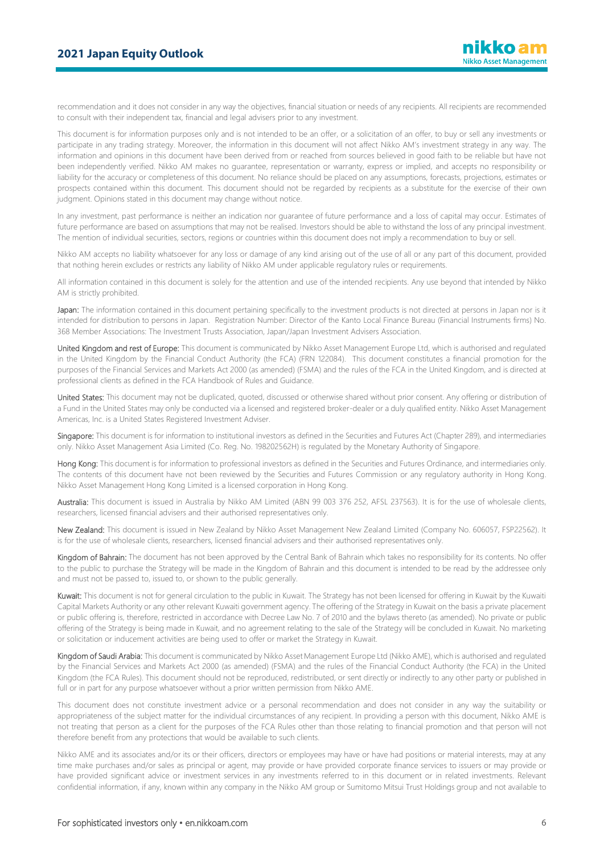recommendation and it does not consider in any way the objectives, financial situation or needs of any recipients. All recipients are recommended to consult with their independent tax, financial and legal advisers prior to any investment.

This document is for information purposes only and is not intended to be an offer, or a solicitation of an offer, to buy or sell any investments or participate in any trading strategy. Moreover, the information in this document will not affect Nikko AM's investment strategy in any way. The information and opinions in this document have been derived from or reached from sources believed in good faith to be reliable but have not been independently verified. Nikko AM makes no guarantee, representation or warranty, express or implied, and accepts no responsibility or liability for the accuracy or completeness of this document. No reliance should be placed on any assumptions, forecasts, projections, estimates or prospects contained within this document. This document should not be regarded by recipients as a substitute for the exercise of their own judgment. Opinions stated in this document may change without notice.

In any investment, past performance is neither an indication nor guarantee of future performance and a loss of capital may occur. Estimates of future performance are based on assumptions that may not be realised. Investors should be able to withstand the loss of any principal investment. The mention of individual securities, sectors, regions or countries within this document does not imply a recommendation to buy or sell.

Nikko AM accepts no liability whatsoever for any loss or damage of any kind arising out of the use of all or any part of this document, provided that nothing herein excludes or restricts any liability of Nikko AM under applicable regulatory rules or requirements.

All information contained in this document is solely for the attention and use of the intended recipients. Any use beyond that intended by Nikko AM is strictly prohibited.

Japan: The information contained in this document pertaining specifically to the investment products is not directed at persons in Japan nor is it intended for distribution to persons in Japan. Registration Number: Director of the Kanto Local Finance Bureau (Financial Instruments firms) No. 368 Member Associations: The Investment Trusts Association, Japan/Japan Investment Advisers Association.

United Kingdom and rest of Europe: This document is communicated by Nikko Asset Management Europe Ltd, which is authorised and regulated in the United Kingdom by the Financial Conduct Authority (the FCA) (FRN 122084). This document constitutes a financial promotion for the purposes of the Financial Services and Markets Act 2000 (as amended) (FSMA) and the rules of the FCA in the United Kingdom, and is directed at professional clients as defined in the FCA Handbook of Rules and Guidance.

United States: This document may not be duplicated, quoted, discussed or otherwise shared without prior consent. Any offering or distribution of a Fund in the United States may only be conducted via a licensed and registered broker-dealer or a duly qualified entity. Nikko Asset Management Americas, Inc. is a United States Registered Investment Adviser.

Singapore: This document is for information to institutional investors as defined in the Securities and Futures Act (Chapter 289), and intermediaries only. Nikko Asset Management Asia Limited (Co. Reg. No. 198202562H) is regulated by the Monetary Authority of Singapore.

Hong Kong: This document is for information to professional investors as defined in the Securities and Futures Ordinance, and intermediaries only. The contents of this document have not been reviewed by the Securities and Futures Commission or any regulatory authority in Hong Kong. Nikko Asset Management Hong Kong Limited is a licensed corporation in Hong Kong.

Australia: This document is issued in Australia by Nikko AM Limited (ABN 99 003 376 252, AFSL 237563). It is for the use of wholesale clients, researchers, licensed financial advisers and their authorised representatives only.

New Zealand: This document is issued in New Zealand by Nikko Asset Management New Zealand Limited (Company No. 606057, FSP22562). It is for the use of wholesale clients, researchers, licensed financial advisers and their authorised representatives only.

Kingdom of Bahrain: The document has not been approved by the Central Bank of Bahrain which takes no responsibility for its contents. No offer to the public to purchase the Strategy will be made in the Kingdom of Bahrain and this document is intended to be read by the addressee only and must not be passed to, issued to, or shown to the public generally.

Kuwait: This document is not for general circulation to the public in Kuwait. The Strategy has not been licensed for offering in Kuwait by the Kuwaiti Capital Markets Authority or any other relevant Kuwaiti government agency. The offering of the Strategy in Kuwait on the basis a private placement or public offering is, therefore, restricted in accordance with Decree Law No. 7 of 2010 and the bylaws thereto (as amended). No private or public offering of the Strategy is being made in Kuwait, and no agreement relating to the sale of the Strategy will be concluded in Kuwait. No marketing or solicitation or inducement activities are being used to offer or market the Strategy in Kuwait.

Kingdom of Saudi Arabia: This document is communicated by Nikko Asset Management Europe Ltd (Nikko AME), which is authorised and regulated by the Financial Services and Markets Act 2000 (as amended) (FSMA) and the rules of the Financial Conduct Authority (the FCA) in the United Kingdom (the FCA Rules). This document should not be reproduced, redistributed, or sent directly or indirectly to any other party or published in full or in part for any purpose whatsoever without a prior written permission from Nikko AME.

This document does not constitute investment advice or a personal recommendation and does not consider in any way the suitability or appropriateness of the subject matter for the individual circumstances of any recipient. In providing a person with this document, Nikko AME is not treating that person as a client for the purposes of the FCA Rules other than those relating to financial promotion and that person will not therefore benefit from any protections that would be available to such clients.

Nikko AME and its associates and/or its or their officers, directors or employees may have or have had positions or material interests, may at any time make purchases and/or sales as principal or agent, may provide or have provided corporate finance services to issuers or may provide or have provided significant advice or investment services in any investments referred to in this document or in related investments. Relevant confidential information, if any, known within any company in the Nikko AM group or Sumitomo Mitsui Trust Holdings group and not available to